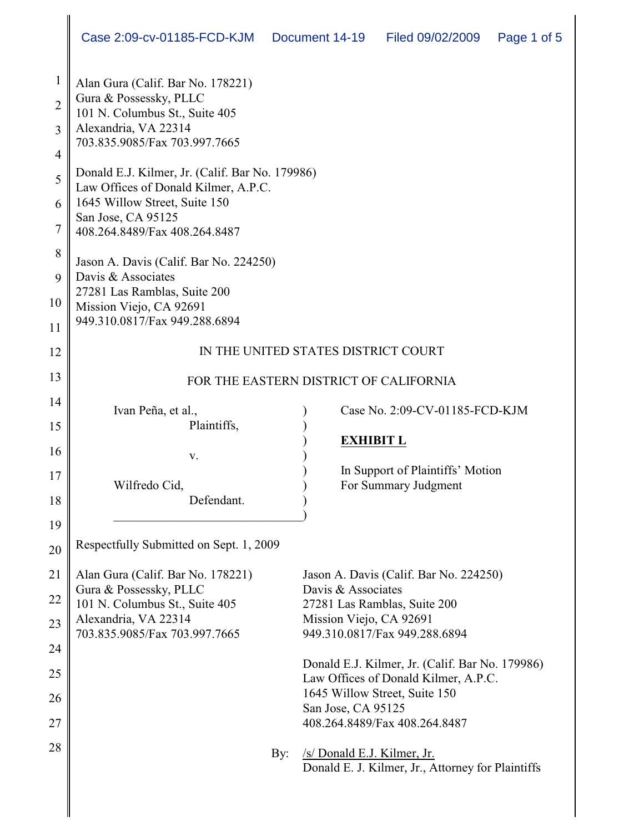| 1              | Alan Gura (Calif. Bar No. 178221)                                                       |                                                                                         |  |
|----------------|-----------------------------------------------------------------------------------------|-----------------------------------------------------------------------------------------|--|
| $\overline{2}$ | Gura & Possessky, PLLC<br>101 N. Columbus St., Suite 405                                |                                                                                         |  |
| $\overline{3}$ | Alexandria, VA 22314<br>703.835.9085/Fax 703.997.7665                                   |                                                                                         |  |
| 4              |                                                                                         |                                                                                         |  |
| 5              | Donald E.J. Kilmer, Jr. (Calif. Bar No. 179986)<br>Law Offices of Donald Kilmer, A.P.C. |                                                                                         |  |
| 6              | 1645 Willow Street, Suite 150<br>San Jose, CA 95125                                     |                                                                                         |  |
| $\overline{7}$ | 408.264.8489/Fax 408.264.8487                                                           |                                                                                         |  |
| 8              | Jason A. Davis (Calif. Bar No. 224250)                                                  |                                                                                         |  |
| 9              | Davis & Associates<br>27281 Las Ramblas, Suite 200                                      |                                                                                         |  |
| 10             | Mission Viejo, CA 92691                                                                 |                                                                                         |  |
| 11             | 949.310.0817/Fax 949.288.6894                                                           |                                                                                         |  |
| 12             | IN THE UNITED STATES DISTRICT COURT                                                     |                                                                                         |  |
| 13             | FOR THE EASTERN DISTRICT OF CALIFORNIA                                                  |                                                                                         |  |
| 14             | Ivan Peña, et al.,                                                                      | Case No. 2:09-CV-01185-FCD-KJM                                                          |  |
| 15             | Plaintiffs,                                                                             |                                                                                         |  |
| 16             |                                                                                         | <b>EXHIBIT L</b>                                                                        |  |
|                | V.                                                                                      | In Support of Plaintiffs' Motion                                                        |  |
| 17             | Wilfredo Cid,                                                                           | For Summary Judgment                                                                    |  |
| 18             | Defendant.                                                                              |                                                                                         |  |
| 19             |                                                                                         |                                                                                         |  |
| 20             | Respectfully Submitted on Sept. 1, 2009                                                 |                                                                                         |  |
| 21             | Alan Gura (Calif. Bar No. 178221)                                                       | Jason A. Davis (Calif. Bar No. 224250)                                                  |  |
| 22             | Gura & Possessky, PLLC                                                                  | Davis & Associates                                                                      |  |
|                | 101 N. Columbus St., Suite 405<br>Alexandria, VA 22314                                  | 27281 Las Ramblas, Suite 200<br>Mission Viejo, CA 92691                                 |  |
| 23             | 703.835.9085/Fax 703.997.7665                                                           | 949.310.0817/Fax 949.288.6894                                                           |  |
| 24             |                                                                                         |                                                                                         |  |
| 25             |                                                                                         | Donald E.J. Kilmer, Jr. (Calif. Bar No. 179986)<br>Law Offices of Donald Kilmer, A.P.C. |  |
| 26             |                                                                                         | 1645 Willow Street, Suite 150                                                           |  |
|                |                                                                                         | San Jose, CA 95125                                                                      |  |
| 27             |                                                                                         | 408.264.8489/Fax 408.264.8487                                                           |  |
| 28             | By:                                                                                     | /s/ Donald E.J. Kilmer, Jr.<br>Donald E. J. Kilmer, Jr., Attorney for Plaintiffs        |  |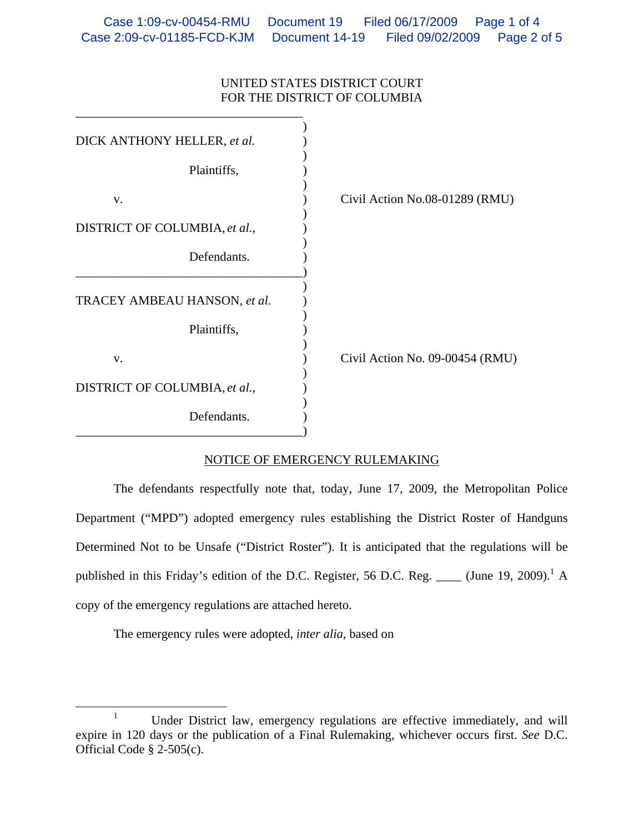## UNITED STATES DISTRICT COURT FOR THE DISTRICT OF COLUMBIA

| DICK ANTHONY HELLER, et al.   |                                 |
|-------------------------------|---------------------------------|
| Plaintiffs,                   |                                 |
| V.                            | Civil Action No.08-01289 (RMU)  |
| DISTRICT OF COLUMBIA, et al., |                                 |
| Defendants.                   |                                 |
| TRACEY AMBEAU HANSON, et al.  |                                 |
| Plaintiffs,                   |                                 |
| V.                            | Civil Action No. 09-00454 (RMU) |
| DISTRICT OF COLUMBIA, et al., |                                 |
| Defendants.                   |                                 |

## NOTICE OF EMERGENCY RULEMAKING

 The defendants respectfully note that, today, June 17, 2009, the Metropolitan Police Department ("MPD") adopted emergency rules establishing the District Roster of Handguns Determined Not to be Unsafe ("District Roster"). It is anticipated that the regulations will be published in this Friday's edition of the D.C. Register, 56 D.C. Reg. \_\_\_\_ (June 19, 2009).<sup>1</sup> A copy of the emergency regulations are attached hereto.

The emergency rules were adopted, *inter alia*, based on

 $\frac{1}{1}$ <sup>1</sup> Under District law, emergency regulations are effective immediately, and will expire in 120 days or the publication of a Final Rulemaking, whichever occurs first. *See* D.C. Official Code § 2-505(c).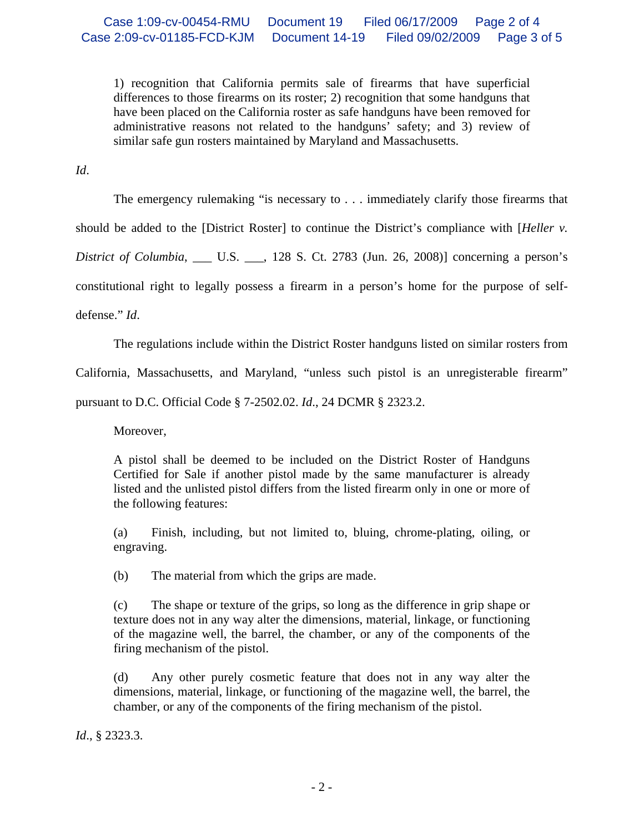1) recognition that California permits sale of firearms that have superficial differences to those firearms on its roster; 2) recognition that some handguns that have been placed on the California roster as safe handguns have been removed for administrative reasons not related to the handguns' safety; and 3) review of similar safe gun rosters maintained by Maryland and Massachusetts.

*Id*.

The emergency rulemaking "is necessary to . . . immediately clarify those firearms that

should be added to the [District Roster] to continue the District's compliance with [*Heller v.* 

*District of Columbia*, \_\_\_ U.S. \_\_\_, 128 S. Ct. 2783 (Jun. 26, 2008)] concerning a person's

constitutional right to legally possess a firearm in a person's home for the purpose of self-

defense." *Id*.

The regulations include within the District Roster handguns listed on similar rosters from

California, Massachusetts, and Maryland, "unless such pistol is an unregisterable firearm"

pursuant to D.C. Official Code § 7-2502.02. *Id*., 24 DCMR § 2323.2.

Moreover,

A pistol shall be deemed to be included on the District Roster of Handguns Certified for Sale if another pistol made by the same manufacturer is already listed and the unlisted pistol differs from the listed firearm only in one or more of the following features:

(a) Finish, including, but not limited to, bluing, chrome-plating, oiling, or engraving.

(b) The material from which the grips are made.

(c) The shape or texture of the grips, so long as the difference in grip shape or texture does not in any way alter the dimensions, material, linkage, or functioning of the magazine well, the barrel, the chamber, or any of the components of the firing mechanism of the pistol.

(d) Any other purely cosmetic feature that does not in any way alter the dimensions, material, linkage, or functioning of the magazine well, the barrel, the chamber, or any of the components of the firing mechanism of the pistol.

*Id*., § 2323.3.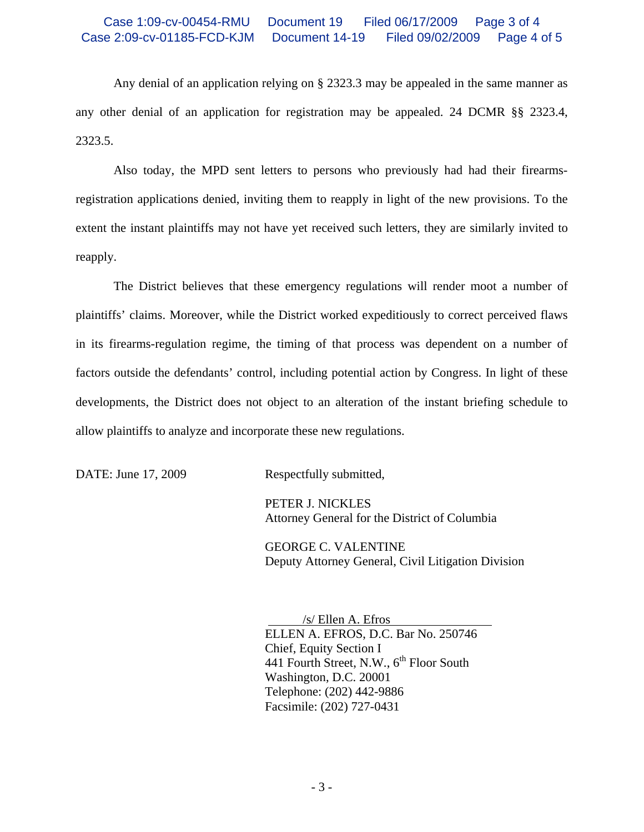## Case 1:09-cv-00454-RMU Document 19 Filed 06/17/2009 Page 3 of 4 Case 2:09-cv-01185-FCD-KJM Document 14-19 Filed 09/02/2009 Page 4 of 5

Any denial of an application relying on § 2323.3 may be appealed in the same manner as any other denial of an application for registration may be appealed. 24 DCMR §§ 2323.4, 2323.5.

 Also today, the MPD sent letters to persons who previously had had their firearmsregistration applications denied, inviting them to reapply in light of the new provisions. To the extent the instant plaintiffs may not have yet received such letters, they are similarly invited to reapply.

 The District believes that these emergency regulations will render moot a number of plaintiffs' claims. Moreover, while the District worked expeditiously to correct perceived flaws in its firearms-regulation regime, the timing of that process was dependent on a number of factors outside the defendants' control, including potential action by Congress. In light of these developments, the District does not object to an alteration of the instant briefing schedule to allow plaintiffs to analyze and incorporate these new regulations.

DATE: June 17, 2009 Respectfully submitted,

 PETER J. NICKLES Attorney General for the District of Columbia

 GEORGE C. VALENTINE Deputy Attorney General, Civil Litigation Division

 /s/ Ellen A. Efros ELLEN A. EFROS, D.C. Bar No. 250746 Chief, Equity Section I 441 Fourth Street, N.W., 6<sup>th</sup> Floor South Washington, D.C. 20001 Telephone: (202) 442-9886 Facsimile: (202) 727-0431